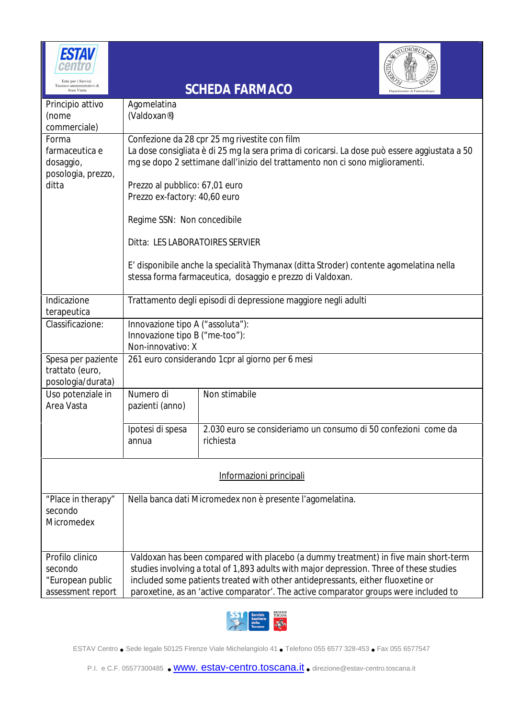| ESTAV                                                               |                                                                                                                                                                                                                                                                                                                                                           |                                                                             | <b>JDIORUT</b>         |  |  |
|---------------------------------------------------------------------|-----------------------------------------------------------------------------------------------------------------------------------------------------------------------------------------------------------------------------------------------------------------------------------------------------------------------------------------------------------|-----------------------------------------------------------------------------|------------------------|--|--|
| Tecnico-amministrativi di<br>Area Vasta                             |                                                                                                                                                                                                                                                                                                                                                           | <b>SCHEDA FARMACO</b>                                                       | Dipartimento di Farmac |  |  |
| Principio attivo<br>(nome<br>commerciale)                           | Agomelatina<br>(Valdoxan®)                                                                                                                                                                                                                                                                                                                                |                                                                             |                        |  |  |
| Forma<br>farmaceutica e<br>dosaggio,<br>posologia, prezzo,          | Confezione da 28 cpr 25 mg rivestite con film<br>La dose consigliata è di 25 mg la sera prima di coricarsi. La dose può essere aggiustata a 50<br>mg se dopo 2 settimane dall'inizio del trattamento non ci sono miglioramenti.                                                                                                                           |                                                                             |                        |  |  |
| ditta                                                               | Prezzo al pubblico: 67,01 euro<br>Prezzo ex-factory: 40,60 euro                                                                                                                                                                                                                                                                                           |                                                                             |                        |  |  |
|                                                                     | Regime SSN: Non concedibile                                                                                                                                                                                                                                                                                                                               |                                                                             |                        |  |  |
|                                                                     | Ditta: LES LABORATOIRES SERVIER                                                                                                                                                                                                                                                                                                                           |                                                                             |                        |  |  |
|                                                                     | E' disponibile anche la specialità Thymanax (ditta Stroder) contente agomelatina nella<br>stessa forma farmaceutica, dosaggio e prezzo di Valdoxan.                                                                                                                                                                                                       |                                                                             |                        |  |  |
| Indicazione<br>terapeutica                                          | Trattamento degli episodi di depressione maggiore negli adulti                                                                                                                                                                                                                                                                                            |                                                                             |                        |  |  |
| Classificazione:                                                    | Innovazione tipo A ("assoluta"):<br>Innovazione tipo B ("me-too"):<br>Non-innovativo: X                                                                                                                                                                                                                                                                   |                                                                             |                        |  |  |
| Spesa per paziente<br>trattato (euro,<br>posologia/durata)          | 261 euro considerando 1 cpr al giorno per 6 mesi                                                                                                                                                                                                                                                                                                          |                                                                             |                        |  |  |
| Uso potenziale in<br>Area Vasta                                     | Numero di<br>pazienti (anno)                                                                                                                                                                                                                                                                                                                              | Non stimabile                                                               |                        |  |  |
|                                                                     | Ipotesi di spesa<br>annua                                                                                                                                                                                                                                                                                                                                 | 2.030 euro se consideriamo un consumo di 50 confezioni come da<br>richiesta |                        |  |  |
| Informazioni principali                                             |                                                                                                                                                                                                                                                                                                                                                           |                                                                             |                        |  |  |
| "Place in therapy"<br>secondo<br>Micromedex                         | Nella banca dati Micromedex non è presente l'agomelatina.                                                                                                                                                                                                                                                                                                 |                                                                             |                        |  |  |
| Profilo clinico<br>secondo<br>"European public<br>assessment report | Valdoxan has been compared with placebo (a dummy treatment) in five main short-term<br>studies involving a total of 1,893 adults with major depression. Three of these studies<br>included some patients treated with other antidepressants, either fluoxetine or<br>paroxetine, as an 'active comparator'. The active comparator groups were included to |                                                                             |                        |  |  |



ESTAV Centro • Sede legale <sup>50125</sup> Firenze Viale Michelangiolo <sup>41</sup> • Telefono <sup>055</sup> <sup>6577</sup> 328-453 • Fax 055 6577547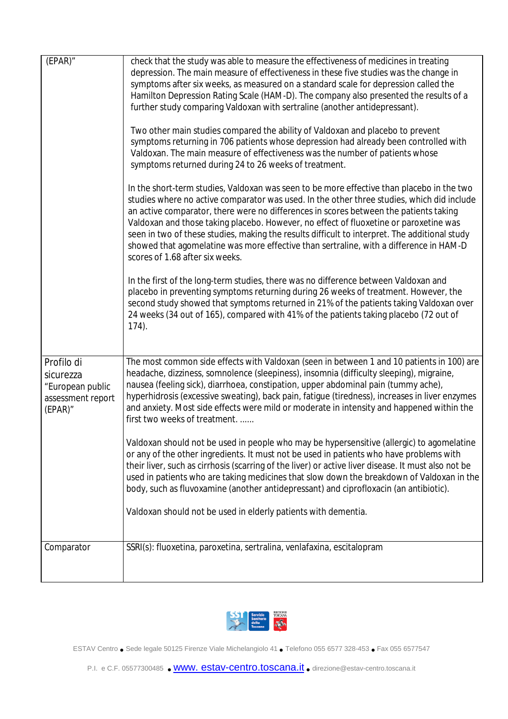| $(EPAR)$ "                                                                     | check that the study was able to measure the effectiveness of medicines in treating<br>depression. The main measure of effectiveness in these five studies was the change in<br>symptoms after six weeks, as measured on a standard scale for depression called the<br>Hamilton Depression Rating Scale (HAM-D). The company also presented the results of a<br>further study comparing Valdoxan with sertraline (another antidepressant).<br>Two other main studies compared the ability of Valdoxan and placebo to prevent<br>symptoms returning in 706 patients whose depression had already been controlled with<br>Valdoxan. The main measure of effectiveness was the number of patients whose<br>symptoms returned during 24 to 26 weeks of treatment.<br>In the short-term studies, Valdoxan was seen to be more effective than placebo in the two<br>studies where no active comparator was used. In the other three studies, which did include<br>an active comparator, there were no differences in scores between the patients taking<br>Valdoxan and those taking placebo. However, no effect of fluoxetine or paroxetine was<br>seen in two of these studies, making the results difficult to interpret. The additional study<br>showed that agomelatine was more effective than sertraline, with a difference in HAM-D<br>scores of 1.68 after six weeks.<br>In the first of the long-term studies, there was no difference between Valdoxan and<br>placebo in preventing symptoms returning during 26 weeks of treatment. However, the<br>second study showed that symptoms returned in 21% of the patients taking Valdoxan over<br>24 weeks (34 out of 165), compared with 41% of the patients taking placebo (72 out of<br>$174$ ). |
|--------------------------------------------------------------------------------|-------------------------------------------------------------------------------------------------------------------------------------------------------------------------------------------------------------------------------------------------------------------------------------------------------------------------------------------------------------------------------------------------------------------------------------------------------------------------------------------------------------------------------------------------------------------------------------------------------------------------------------------------------------------------------------------------------------------------------------------------------------------------------------------------------------------------------------------------------------------------------------------------------------------------------------------------------------------------------------------------------------------------------------------------------------------------------------------------------------------------------------------------------------------------------------------------------------------------------------------------------------------------------------------------------------------------------------------------------------------------------------------------------------------------------------------------------------------------------------------------------------------------------------------------------------------------------------------------------------------------------------------------------------------------------------------------------------------------------------------------------|
| Profilo di<br>sicurezza<br>"European public<br>assessment report<br>$(EPAR)$ " | The most common side effects with Valdoxan (seen in between 1 and 10 patients in 100) are<br>headache, dizziness, somnolence (sleepiness), insomnia (difficulty sleeping), migraine,<br>nausea (feeling sick), diarrhoea, constipation, upper abdominal pain (tummy ache),<br>hyperhidrosis (excessive sweating), back pain, fatigue (tiredness), increases in liver enzymes<br>and anxiety. Most side effects were mild or moderate in intensity and happened within the<br>first two weeks of treatment                                                                                                                                                                                                                                                                                                                                                                                                                                                                                                                                                                                                                                                                                                                                                                                                                                                                                                                                                                                                                                                                                                                                                                                                                                             |
|                                                                                | Valdoxan should not be used in people who may be hypersensitive (allergic) to agomelatine<br>or any of the other ingredients. It must not be used in patients who have problems with<br>their liver, such as cirrhosis (scarring of the liver) or active liver disease. It must also not be<br>used in patients who are taking medicines that slow down the breakdown of Valdoxan in the<br>body, such as fluvoxamine (another antidepressant) and ciprofloxacin (an antibiotic).                                                                                                                                                                                                                                                                                                                                                                                                                                                                                                                                                                                                                                                                                                                                                                                                                                                                                                                                                                                                                                                                                                                                                                                                                                                                     |
|                                                                                | Valdoxan should not be used in elderly patients with dementia.                                                                                                                                                                                                                                                                                                                                                                                                                                                                                                                                                                                                                                                                                                                                                                                                                                                                                                                                                                                                                                                                                                                                                                                                                                                                                                                                                                                                                                                                                                                                                                                                                                                                                        |
| Comparator                                                                     | SSRI(s): fluoxetina, paroxetina, sertralina, venlafaxina, escitalopram                                                                                                                                                                                                                                                                                                                                                                                                                                                                                                                                                                                                                                                                                                                                                                                                                                                                                                                                                                                                                                                                                                                                                                                                                                                                                                                                                                                                                                                                                                                                                                                                                                                                                |



ESTAV Centro • Sede legale <sup>50125</sup> Firenze Viale Michelangiolo <sup>41</sup> • Telefono <sup>055</sup> <sup>6577</sup> 328-453 • Fax 055 6577547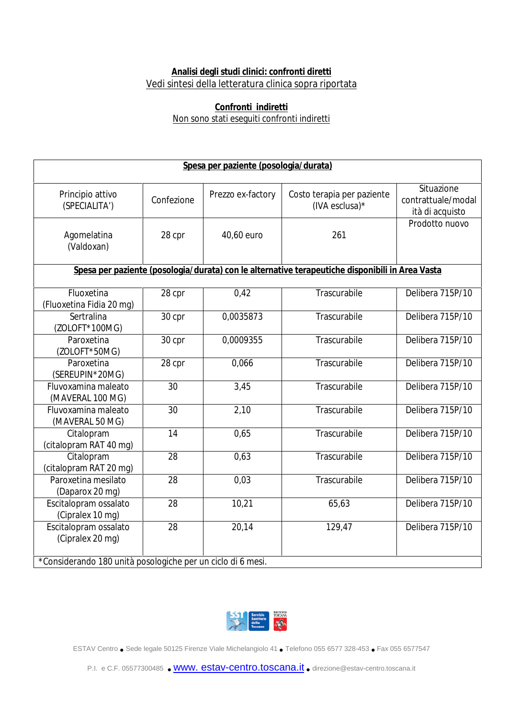## **Analisi degli studi clinici: confronti diretti** Vedi sintesi della letteratura clinica sopra riportata

## **Confronti indiretti** Non sono stati eseguiti confronti indiretti

| Spesa per paziente (posologia/durata)                                                           |                 |                   |                                              |                                                     |  |
|-------------------------------------------------------------------------------------------------|-----------------|-------------------|----------------------------------------------|-----------------------------------------------------|--|
| Principio attivo<br>(SPECIALITA')                                                               | Confezione      | Prezzo ex-factory | Costo terapia per paziente<br>(IVA esclusa)* | Situazione<br>contrattuale/modal<br>ità di acquisto |  |
| Agomelatina<br>(Valdoxan)                                                                       | 28 cpr          | 40,60 euro        | 261                                          | Prodotto nuovo                                      |  |
| Spesa per paziente (posologia/durata) con le alternative terapeutiche disponibili in Area Vasta |                 |                   |                                              |                                                     |  |
| Fluoxetina<br>(Fluoxetina Fidia 20 mg)                                                          | 28 cpr          | 0,42              | Trascurabile                                 | Delibera 715P/10                                    |  |
| Sertralina<br>(ZOLOFT*100MG)                                                                    | 30 cpr          | 0,0035873         | Trascurabile                                 | Delibera 715P/10                                    |  |
| Paroxetina<br>(ZOLOFT*50MG)                                                                     | 30 cpr          | 0,0009355         | Trascurabile                                 | Delibera 715P/10                                    |  |
| Paroxetina<br>(SEREUPIN*20MG)                                                                   | 28 cpr          | 0,066             | Trascurabile                                 | Delibera 715P/10                                    |  |
| Fluvoxamina maleato<br>(MAVERAL 100 MG)                                                         | $\overline{30}$ | 3,45              | Trascurabile                                 | Delibera 715P/10                                    |  |
| Fluvoxamina maleato<br>(MAVERAL 50 MG)                                                          | 30              | 2,10              | Trascurabile                                 | Delibera 715P/10                                    |  |
| Citalopram<br>(citalopram RAT 40 mg)                                                            | 14              | 0,65              | Trascurabile                                 | Delibera 715P/10                                    |  |
| Citalopram<br>(citalopram RAT 20 mg)                                                            | 28              | 0,63              | Trascurabile                                 | Delibera 715P/10                                    |  |
| Paroxetina mesilato<br>(Daparox 20 mg)                                                          | 28              | 0,03              | Trascurabile                                 | Delibera 715P/10                                    |  |
| Escitalopram ossalato<br>(Cipralex 10 mg)                                                       | 28              | 10,21             | 65,63                                        | Delibera 715P/10                                    |  |
| Escitalopram ossalato<br>(Cipralex 20 mg)                                                       | 28              | 20,14             | 129,47                                       | Delibera 715P/10                                    |  |
| *Considerando 180 unità posologiche per un ciclo di 6 mesi.                                     |                 |                   |                                              |                                                     |  |



ESTAV Centro • Sede legale <sup>50125</sup> Firenze Viale Michelangiolo <sup>41</sup> • Telefono <sup>055</sup> <sup>6577</sup> 328-453 • Fax 055 6577547